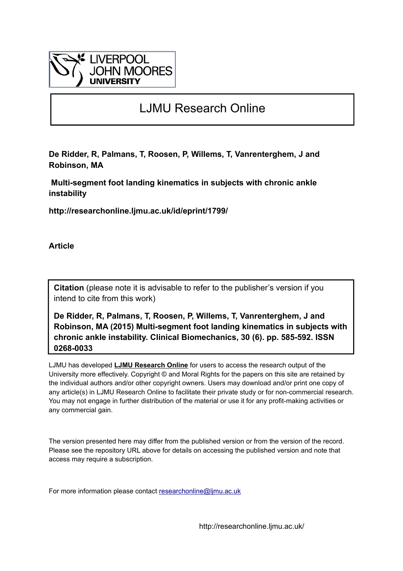

# LJMU Research Online

**De Ridder, R, Palmans, T, Roosen, P, Willems, T, Vanrenterghem, J and Robinson, MA**

 **Multi-segment foot landing kinematics in subjects with chronic ankle instability**

**http://researchonline.ljmu.ac.uk/id/eprint/1799/**

**Article**

**Citation** (please note it is advisable to refer to the publisher's version if you intend to cite from this work)

**De Ridder, R, Palmans, T, Roosen, P, Willems, T, Vanrenterghem, J and Robinson, MA (2015) Multi-segment foot landing kinematics in subjects with chronic ankle instability. Clinical Biomechanics, 30 (6). pp. 585-592. ISSN 0268-0033** 

LJMU has developed **[LJMU Research Online](http://researchonline.ljmu.ac.uk/)** for users to access the research output of the University more effectively. Copyright © and Moral Rights for the papers on this site are retained by the individual authors and/or other copyright owners. Users may download and/or print one copy of any article(s) in LJMU Research Online to facilitate their private study or for non-commercial research. You may not engage in further distribution of the material or use it for any profit-making activities or any commercial gain.

The version presented here may differ from the published version or from the version of the record. Please see the repository URL above for details on accessing the published version and note that access may require a subscription.

For more information please contact researchonline@limu.ac.uk

http://researchonline.ljmu.ac.uk/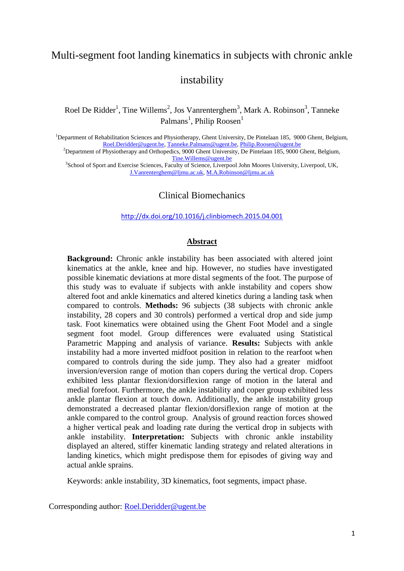# Multi-segment foot landing kinematics in subjects with chronic ankle

# instability

Roel De Ridder<sup>1</sup>, Tine Willems<sup>2</sup>, Jos Vanrenterghem<sup>3</sup>, Mark A. Robinson<sup>3</sup>, Tanneke Palmans<sup>1</sup>, Philip Roosen<sup>1</sup>

<sup>1</sup>Department of Rehabilitation Sciences and Physiotherapy, Ghent University, De Pintelaan 185, 9000 Ghent, Belgium, [Roel.Deridder@ugent.be,](mailto:Roel.Deridder@ugent.be) [Tanneke.Palmans@ugent.be,](mailto:Tanneke.Palmans@ugent.be) [Philip.Roosen@ugent.be](mailto:Philip.Roosen@ugent.be)

<sup>2</sup>Department of Physiotherapy and Orthopedics, 9000 Ghent University, De Pintelaan 185, 9000 Ghent, Belgium, [Tine.Willems@ugent.be](mailto:Tine.Willems@ugent.be)

3 School of Sport and Exercise Sciences, Faculty of Science, Liverpool John Moores University, Liverpool, UK, [J.Vanrenterghem@ljmu.ac.uk,](mailto:J.Vanrenterghem@ljmu.ac.uk) [M.A.Robinson@ljmu.ac.uk](mailto:M.A.Robinson@ljmu.ac.uk)

# Clinical Biomechanics

<http://dx.doi.org/10.1016/j.clinbiomech.2015.04.001>

### **Abstract**

**Background:** Chronic ankle instability has been associated with altered joint kinematics at the ankle, knee and hip. However, no studies have investigated possible kinematic deviations at more distal segments of the foot. The purpose of this study was to evaluate if subjects with ankle instability and copers show altered foot and ankle kinematics and altered kinetics during a landing task when compared to controls. **Methods:** 96 subjects (38 subjects with chronic ankle instability, 28 copers and 30 controls) performed a vertical drop and side jump task. Foot kinematics were obtained using the Ghent Foot Model and a single segment foot model. Group differences were evaluated using Statistical Parametric Mapping and analysis of variance. **Results:** Subjects with ankle instability had a more inverted midfoot position in relation to the rearfoot when compared to controls during the side jump. They also had a greater midfoot inversion/eversion range of motion than copers during the vertical drop. Copers exhibited less plantar flexion/dorsiflexion range of motion in the lateral and medial forefoot. Furthermore, the ankle instability and coper group exhibited less ankle plantar flexion at touch down. Additionally, the ankle instability group demonstrated a decreased plantar flexion/dorsiflexion range of motion at the ankle compared to the control group. Analysis of ground reaction forces showed a higher vertical peak and loading rate during the vertical drop in subjects with ankle instability. **Interpretation:** Subjects with chronic ankle instability displayed an altered, stiffer kinematic landing strategy and related alterations in landing kinetics, which might predispose them for episodes of giving way and actual ankle sprains.

Keywords: ankle instability, 3D kinematics, foot segments, impact phase.

Corresponding author: [Roel.Deridder@ugent.be](mailto:Roel.Deridder@ugent.be)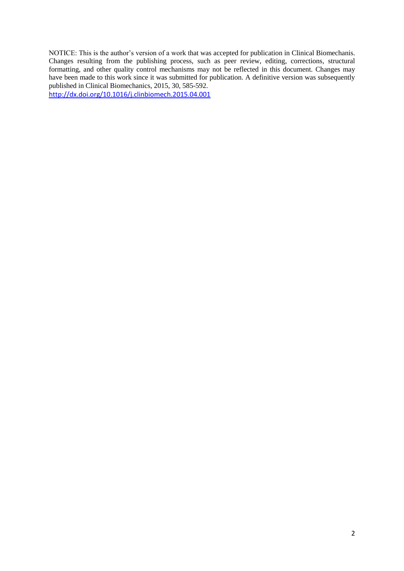NOTICE: This is the author's version of a work that was accepted for publication in Clinical Biomechanis. Changes resulting from the publishing process, such as peer review, editing, corrections, structural formatting, and other quality control mechanisms may not be reflected in this document. Changes may have been made to this work since it was submitted for publication. A definitive version was subsequently published in Clinical Biomechanics, 2015, 30, 585-592.

<http://dx.doi.org/10.1016/j.clinbiomech.2015.04.001>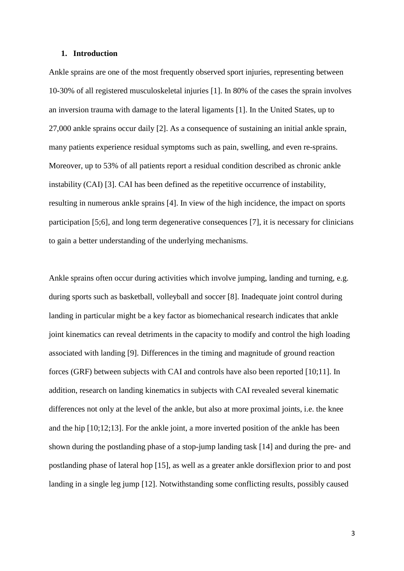#### **1. Introduction**

Ankle sprains are one of the most frequently observed sport injuries, representing between 10-30% of all registered musculoskeletal injuries [1]. In 80% of the cases the sprain involves an inversion trauma with damage to the lateral ligaments [1]. In the United States, up to 27,000 ankle sprains occur daily [2]. As a consequence of sustaining an initial ankle sprain, many patients experience residual symptoms such as pain, swelling, and even re-sprains. Moreover, up to 53% of all patients report a residual condition described as chronic ankle instability (CAI) [3]. CAI has been defined as the repetitive occurrence of instability, resulting in numerous ankle sprains [4]. In view of the high incidence, the impact on sports participation [5;6], and long term degenerative consequences [7], it is necessary for clinicians to gain a better understanding of the underlying mechanisms.

Ankle sprains often occur during activities which involve jumping, landing and turning, e.g. during sports such as basketball, volleyball and soccer [8]. Inadequate joint control during landing in particular might be a key factor as biomechanical research indicates that ankle joint kinematics can reveal detriments in the capacity to modify and control the high loading associated with landing [9]. Differences in the timing and magnitude of ground reaction forces (GRF) between subjects with CAI and controls have also been reported [10;11]. In addition, research on landing kinematics in subjects with CAI revealed several kinematic differences not only at the level of the ankle, but also at more proximal joints, i.e. the knee and the hip [10;12;13]. For the ankle joint, a more inverted position of the ankle has been shown during the postlanding phase of a stop-jump landing task [14] and during the pre- and postlanding phase of lateral hop [15], as well as a greater ankle dorsiflexion prior to and post landing in a single leg jump [12]. Notwithstanding some conflicting results, possibly caused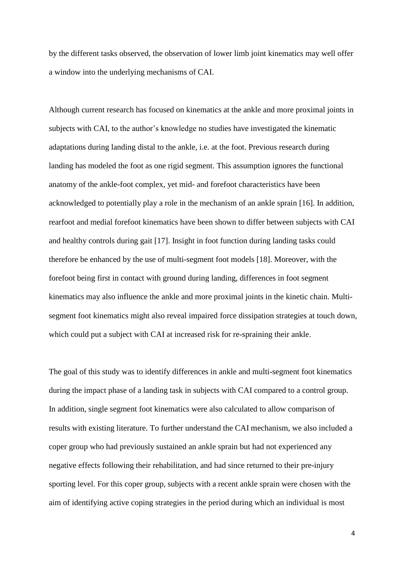by the different tasks observed, the observation of lower limb joint kinematics may well offer a window into the underlying mechanisms of CAI.

Although current research has focused on kinematics at the ankle and more proximal joints in subjects with CAI, to the author's knowledge no studies have investigated the kinematic adaptations during landing distal to the ankle, i.e. at the foot. Previous research during landing has modeled the foot as one rigid segment. This assumption ignores the functional anatomy of the ankle-foot complex, yet mid- and forefoot characteristics have been acknowledged to potentially play a role in the mechanism of an ankle sprain [16]. In addition, rearfoot and medial forefoot kinematics have been shown to differ between subjects with CAI and healthy controls during gait [17]. Insight in foot function during landing tasks could therefore be enhanced by the use of multi-segment foot models [18]. Moreover, with the forefoot being first in contact with ground during landing, differences in foot segment kinematics may also influence the ankle and more proximal joints in the kinetic chain. Multisegment foot kinematics might also reveal impaired force dissipation strategies at touch down, which could put a subject with CAI at increased risk for re-spraining their ankle.

The goal of this study was to identify differences in ankle and multi-segment foot kinematics during the impact phase of a landing task in subjects with CAI compared to a control group. In addition, single segment foot kinematics were also calculated to allow comparison of results with existing literature. To further understand the CAI mechanism, we also included a coper group who had previously sustained an ankle sprain but had not experienced any negative effects following their rehabilitation, and had since returned to their pre-injury sporting level. For this coper group, subjects with a recent ankle sprain were chosen with the aim of identifying active coping strategies in the period during which an individual is most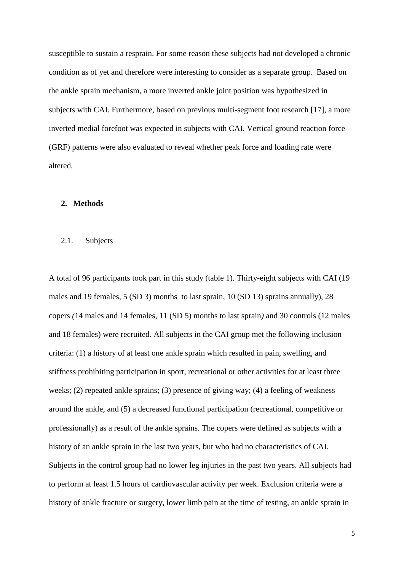susceptible to sustain a resprain. For some reason these subjects had not developed a chronic condition as of yet and therefore were interesting to consider as a separate group. Based on the ankle sprain mechanism, a more inverted ankle joint position was hypothesized in subjects with CAI. Furthermore, based on previous multi-segment foot research [17], a more inverted medial forefoot was expected in subjects with CAI. Vertical ground reaction force (GRF) patterns were also evaluated to reveal whether peak force and loading rate were altered.

#### **2. Methods**

### 2.1. Subjects

A total of 96 participants took part in this study (table 1). Thirty-eight subjects with CAI (19 males and 19 females, 5 (SD 3) months to last sprain, 10 (SD 13) sprains annually), 28 copers *(*14 males and 14 females, 11 (SD 5) months to last sprain*)* and 30 controls (12 males and 18 females) were recruited. All subjects in the CAI group met the following inclusion criteria: (1) a history of at least one ankle sprain which resulted in pain, swelling, and stiffness prohibiting participation in sport, recreational or other activities for at least three weeks; (2) repeated ankle sprains; (3) presence of giving way; (4) a feeling of weakness around the ankle, and (5) a decreased functional participation (recreational, competitive or professionally) as a result of the ankle sprains. The copers were defined as subjects with a history of an ankle sprain in the last two years, but who had no characteristics of CAI. Subjects in the control group had no lower leg injuries in the past two years. All subjects had to perform at least 1.5 hours of cardiovascular activity per week. Exclusion criteria were a history of ankle fracture or surgery, lower limb pain at the time of testing, an ankle sprain in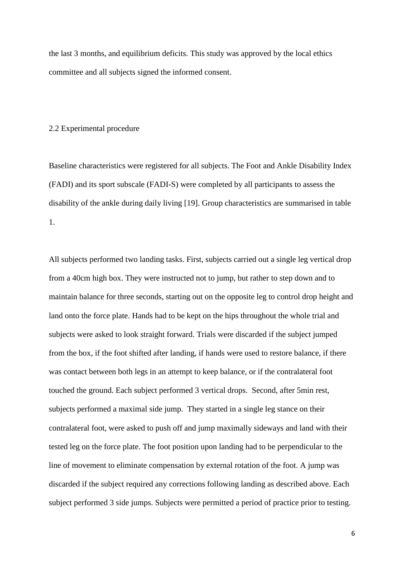the last 3 months, and equilibrium deficits. This study was approved by the local ethics committee and all subjects signed the informed consent.

#### 2.2 Experimental procedure

Baseline characteristics were registered for all subjects. The Foot and Ankle Disability Index (FADI) and its sport subscale (FADI-S) were completed by all participants to assess the disability of the ankle during daily living [19]. Group characteristics are summarised in table 1.

All subjects performed two landing tasks. First, subjects carried out a single leg vertical drop from a 40cm high box. They were instructed not to jump, but rather to step down and to maintain balance for three seconds, starting out on the opposite leg to control drop height and land onto the force plate. Hands had to be kept on the hips throughout the whole trial and subjects were asked to look straight forward. Trials were discarded if the subject jumped from the box, if the foot shifted after landing, if hands were used to restore balance, if there was contact between both legs in an attempt to keep balance, or if the contralateral foot touched the ground. Each subject performed 3 vertical drops. Second, after 5min rest, subjects performed a maximal side jump. They started in a single leg stance on their contralateral foot, were asked to push off and jump maximally sideways and land with their tested leg on the force plate. The foot position upon landing had to be perpendicular to the line of movement to eliminate compensation by external rotation of the foot. A jump was discarded if the subject required any corrections following landing as described above. Each subject performed 3 side jumps. Subjects were permitted a period of practice prior to testing.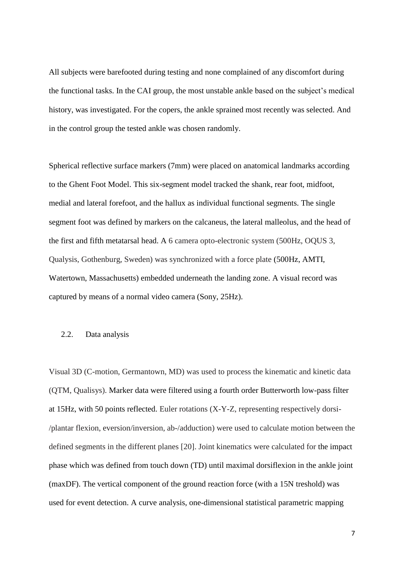All subjects were barefooted during testing and none complained of any discomfort during the functional tasks. In the CAI group, the most unstable ankle based on the subject's medical history, was investigated. For the copers, the ankle sprained most recently was selected. And in the control group the tested ankle was chosen randomly.

Spherical reflective surface markers (7mm) were placed on anatomical landmarks according to the Ghent Foot Model. This six-segment model tracked the shank, rear foot, midfoot, medial and lateral forefoot, and the hallux as individual functional segments. The single segment foot was defined by markers on the calcaneus, the lateral malleolus, and the head of the first and fifth metatarsal head. A 6 camera opto-electronic system (500Hz, OQUS 3, Qualysis, Gothenburg, Sweden) was synchronized with a force plate (500Hz, AMTI, Watertown, Massachusetts) embedded underneath the landing zone. A visual record was captured by means of a normal video camera (Sony, 25Hz).

#### 2.2. Data analysis

Visual 3D (C-motion, Germantown, MD) was used to process the kinematic and kinetic data (QTM, Qualisys). Marker data were filtered using a fourth order Butterworth low-pass filter at 15Hz, with 50 points reflected. Euler rotations (X-Y-Z, representing respectively dorsi- /plantar flexion, eversion/inversion, ab-/adduction) were used to calculate motion between the defined segments in the different planes [20]. Joint kinematics were calculated for the impact phase which was defined from touch down (TD) until maximal dorsiflexion in the ankle joint (maxDF). The vertical component of the ground reaction force (with a 15N treshold) was used for event detection. A curve analysis, one-dimensional statistical parametric mapping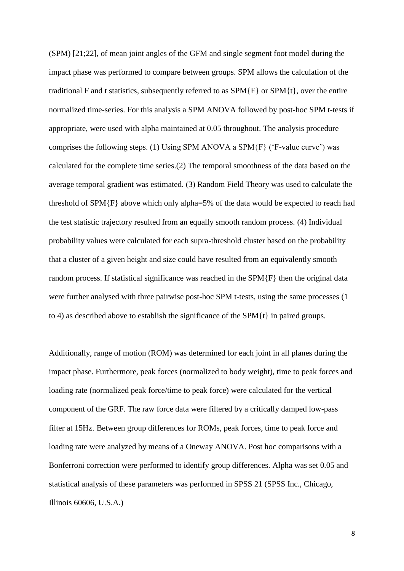(SPM) [21;22], of mean joint angles of the GFM and single segment foot model during the impact phase was performed to compare between groups. SPM allows the calculation of the traditional F and t statistics, subsequently referred to as  $SPM{F}$  or  $SPM{t}$ , over the entire normalized time-series. For this analysis a SPM ANOVA followed by post-hoc SPM t-tests if appropriate, were used with alpha maintained at 0.05 throughout. The analysis procedure comprises the following steps. (1) Using SPM ANOVA a SPM{F} ('F-value curve') was calculated for the complete time series.(2) The temporal smoothness of the data based on the average temporal gradient was estimated. (3) Random Field Theory was used to calculate the threshold of SPM{F} above which only alpha=5% of the data would be expected to reach had the test statistic trajectory resulted from an equally smooth random process. (4) Individual probability values were calculated for each supra-threshold cluster based on the probability that a cluster of a given height and size could have resulted from an equivalently smooth random process. If statistical significance was reached in the SPM{F} then the original data were further analysed with three pairwise post-hoc SPM t-tests, using the same processes (1 to 4) as described above to establish the significance of the SPM{t} in paired groups.

Additionally, range of motion (ROM) was determined for each joint in all planes during the impact phase. Furthermore, peak forces (normalized to body weight), time to peak forces and loading rate (normalized peak force/time to peak force) were calculated for the vertical component of the GRF. The raw force data were filtered by a critically damped low-pass filter at 15Hz. Between group differences for ROMs, peak forces, time to peak force and loading rate were analyzed by means of a Oneway ANOVA. Post hoc comparisons with a Bonferroni correction were performed to identify group differences. Alpha was set 0.05 and statistical analysis of these parameters was performed in SPSS 21 (SPSS Inc., Chicago, Illinois 60606, U.S.A.)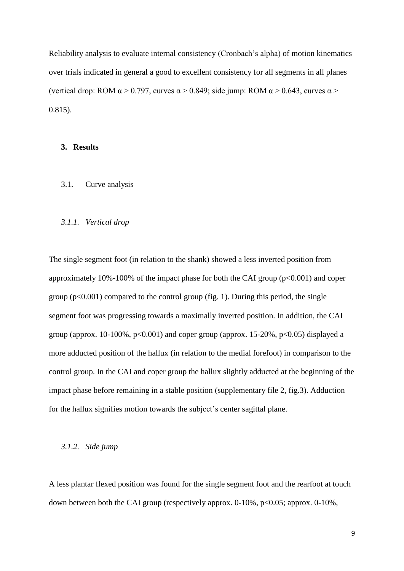Reliability analysis to evaluate internal consistency (Cronbach's alpha) of motion kinematics over trials indicated in general a good to excellent consistency for all segments in all planes (vertical drop: ROM  $\alpha$  > 0.797, curves  $\alpha$  > 0.849; side jump: ROM  $\alpha$  > 0.643, curves  $\alpha$  > 0.815).

# **3. Results**

3.1. Curve analysis

#### *3.1.1. Vertical drop*

The single segment foot (in relation to the shank) showed a less inverted position from approximately 10%-100% of the impact phase for both the CAI group  $(p<0.001)$  and coper group  $(p<0.001)$  compared to the control group (fig. 1). During this period, the single segment foot was progressing towards a maximally inverted position. In addition, the CAI group (approx. 10-100%,  $p<0.001$ ) and coper group (approx. 15-20%,  $p<0.05$ ) displayed a more adducted position of the hallux (in relation to the medial forefoot) in comparison to the control group. In the CAI and coper group the hallux slightly adducted at the beginning of the impact phase before remaining in a stable position (supplementary file 2, fig.3). Adduction for the hallux signifies motion towards the subject's center sagittal plane.

#### *3.1.2. Side jump*

A less plantar flexed position was found for the single segment foot and the rearfoot at touch down between both the CAI group (respectively approx. 0-10%, p<0.05; approx. 0-10%,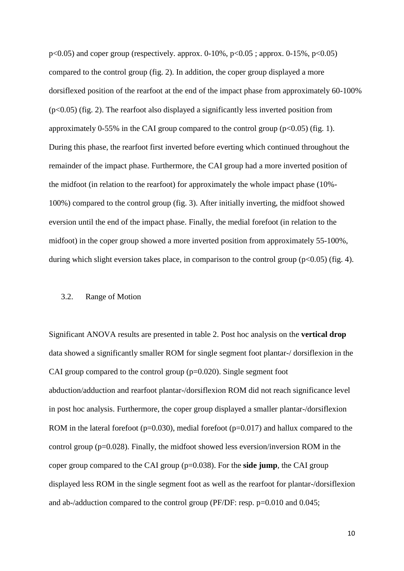$p<0.05$ ) and coper group (respectively. approx. 0-10%,  $p<0.05$ ; approx. 0-15%,  $p<0.05$ ) compared to the control group (fig. 2). In addition, the coper group displayed a more dorsiflexed position of the rearfoot at the end of the impact phase from approximately 60-100%  $(p<0.05)$  (fig. 2). The rearfoot also displayed a significantly less inverted position from approximately 0-55% in the CAI group compared to the control group  $(p<0.05)$  (fig. 1). During this phase, the rearfoot first inverted before everting which continued throughout the remainder of the impact phase. Furthermore, the CAI group had a more inverted position of the midfoot (in relation to the rearfoot) for approximately the whole impact phase (10%- 100%) compared to the control group (fig. 3). After initially inverting, the midfoot showed eversion until the end of the impact phase. Finally, the medial forefoot (in relation to the midfoot) in the coper group showed a more inverted position from approximately 55-100%, during which slight eversion takes place, in comparison to the control group  $(p<0.05)$  (fig. 4).

#### 3.2. Range of Motion

Significant ANOVA results are presented in table 2. Post hoc analysis on the **vertical drop** data showed a significantly smaller ROM for single segment foot plantar-/ dorsiflexion in the CAI group compared to the control group  $(p=0.020)$ . Single segment foot abduction/adduction and rearfoot plantar-/dorsiflexion ROM did not reach significance level in post hoc analysis. Furthermore, the coper group displayed a smaller plantar-/dorsiflexion ROM in the lateral forefoot  $(p=0.030)$ , medial forefoot  $(p=0.017)$  and hallux compared to the control group (p=0.028). Finally, the midfoot showed less eversion/inversion ROM in the coper group compared to the CAI group (p=0.038). For the **side jump**, the CAI group displayed less ROM in the single segment foot as well as the rearfoot for plantar-/dorsiflexion and ab-/adduction compared to the control group (PF/DF: resp. p=0.010 and 0.045;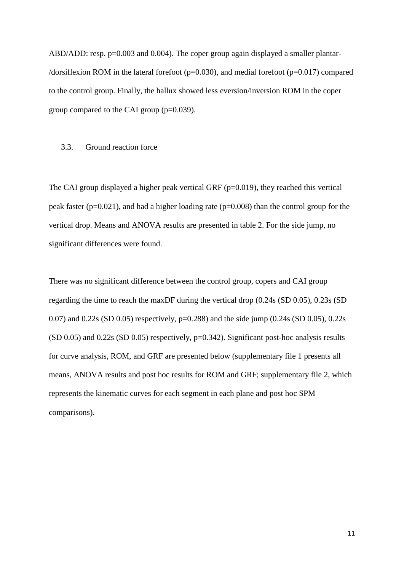ABD/ADD: resp. p=0.003 and 0.004). The coper group again displayed a smaller plantar-/dorsiflexion ROM in the lateral forefoot ( $p=0.030$ ), and medial forefoot ( $p=0.017$ ) compared to the control group. Finally, the hallux showed less eversion/inversion ROM in the coper group compared to the CAI group  $(p=0.039)$ .

### 3.3. Ground reaction force

The CAI group displayed a higher peak vertical GRF  $(p=0.019)$ , they reached this vertical peak faster (p=0.021), and had a higher loading rate (p=0.008) than the control group for the vertical drop. Means and ANOVA results are presented in table 2. For the side jump, no significant differences were found.

There was no significant difference between the control group, copers and CAI group regarding the time to reach the maxDF during the vertical drop (0.24s (SD 0.05), 0.23s (SD 0.07) and 0.22s (SD 0.05) respectively, p=0.288) and the side jump (0.24s (SD 0.05), 0.22s  $(SD 0.05)$  and  $0.22$ s  $(SD 0.05)$  respectively,  $p=0.342$ ). Significant post-hoc analysis results for curve analysis, ROM, and GRF are presented below (supplementary file 1 presents all means, ANOVA results and post hoc results for ROM and GRF; supplementary file 2, which represents the kinematic curves for each segment in each plane and post hoc SPM comparisons).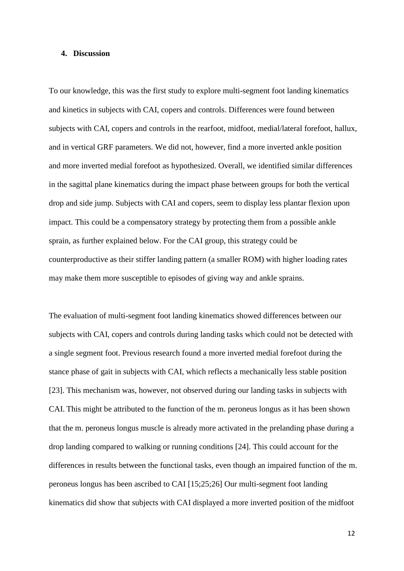#### **4. Discussion**

To our knowledge, this was the first study to explore multi-segment foot landing kinematics and kinetics in subjects with CAI, copers and controls. Differences were found between subjects with CAI, copers and controls in the rearfoot, midfoot, medial/lateral forefoot, hallux, and in vertical GRF parameters. We did not, however, find a more inverted ankle position and more inverted medial forefoot as hypothesized. Overall, we identified similar differences in the sagittal plane kinematics during the impact phase between groups for both the vertical drop and side jump. Subjects with CAI and copers, seem to display less plantar flexion upon impact. This could be a compensatory strategy by protecting them from a possible ankle sprain, as further explained below. For the CAI group, this strategy could be counterproductive as their stiffer landing pattern (a smaller ROM) with higher loading rates may make them more susceptible to episodes of giving way and ankle sprains.

The evaluation of multi-segment foot landing kinematics showed differences between our subjects with CAI, copers and controls during landing tasks which could not be detected with a single segment foot. Previous research found a more inverted medial forefoot during the stance phase of gait in subjects with CAI, which reflects a mechanically less stable position [23]. This mechanism was, however, not observed during our landing tasks in subjects with CAI. This might be attributed to the function of the m. peroneus longus as it has been shown that the m. peroneus longus muscle is already more activated in the prelanding phase during a drop landing compared to walking or running conditions [24]. This could account for the differences in results between the functional tasks, even though an impaired function of the m. peroneus longus has been ascribed to CAI [15;25;26] Our multi-segment foot landing kinematics did show that subjects with CAI displayed a more inverted position of the midfoot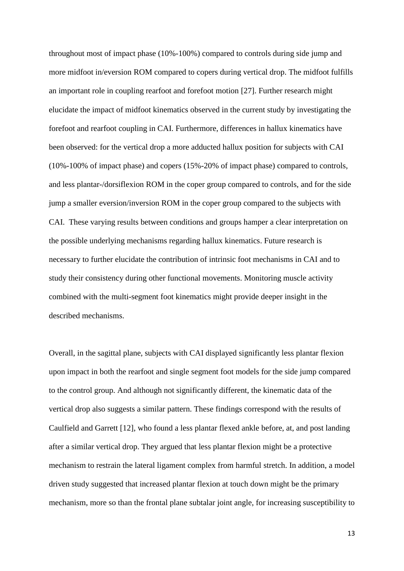throughout most of impact phase (10%-100%) compared to controls during side jump and more midfoot in/eversion ROM compared to copers during vertical drop. The midfoot fulfills an important role in coupling rearfoot and forefoot motion [27]. Further research might elucidate the impact of midfoot kinematics observed in the current study by investigating the forefoot and rearfoot coupling in CAI. Furthermore, differences in hallux kinematics have been observed: for the vertical drop a more adducted hallux position for subjects with CAI (10%-100% of impact phase) and copers (15%-20% of impact phase) compared to controls, and less plantar-/dorsiflexion ROM in the coper group compared to controls, and for the side jump a smaller eversion/inversion ROM in the coper group compared to the subjects with CAI. These varying results between conditions and groups hamper a clear interpretation on the possible underlying mechanisms regarding hallux kinematics. Future research is necessary to further elucidate the contribution of intrinsic foot mechanisms in CAI and to study their consistency during other functional movements. Monitoring muscle activity combined with the multi-segment foot kinematics might provide deeper insight in the described mechanisms.

Overall, in the sagittal plane, subjects with CAI displayed significantly less plantar flexion upon impact in both the rearfoot and single segment foot models for the side jump compared to the control group. And although not significantly different, the kinematic data of the vertical drop also suggests a similar pattern. These findings correspond with the results of Caulfield and Garrett [12], who found a less plantar flexed ankle before, at, and post landing after a similar vertical drop. They argued that less plantar flexion might be a protective mechanism to restrain the lateral ligament complex from harmful stretch. In addition, a model driven study suggested that increased plantar flexion at touch down might be the primary mechanism, more so than the frontal plane subtalar joint angle, for increasing susceptibility to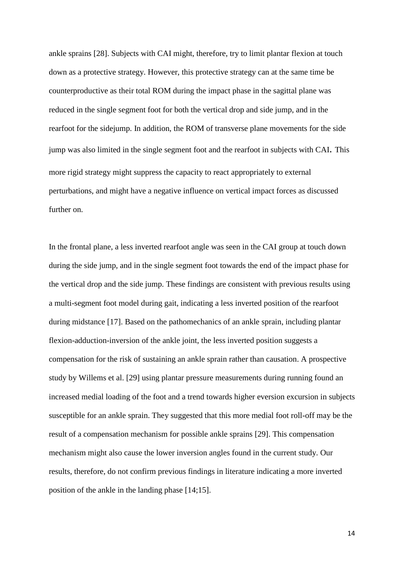ankle sprains [28]. Subjects with CAI might, therefore, try to limit plantar flexion at touch down as a protective strategy. However, this protective strategy can at the same time be counterproductive as their total ROM during the impact phase in the sagittal plane was reduced in the single segment foot for both the vertical drop and side jump, and in the rearfoot for the sidejump. In addition, the ROM of transverse plane movements for the side jump was also limited in the single segment foot and the rearfoot in subjects with CAI. This more rigid strategy might suppress the capacity to react appropriately to external perturbations, and might have a negative influence on vertical impact forces as discussed further on.

In the frontal plane, a less inverted rearfoot angle was seen in the CAI group at touch down during the side jump, and in the single segment foot towards the end of the impact phase for the vertical drop and the side jump. These findings are consistent with previous results using a multi-segment foot model during gait, indicating a less inverted position of the rearfoot during midstance [17]. Based on the pathomechanics of an ankle sprain, including plantar flexion-adduction-inversion of the ankle joint, the less inverted position suggests a compensation for the risk of sustaining an ankle sprain rather than causation. A prospective study by Willems et al. [29] using plantar pressure measurements during running found an increased medial loading of the foot and a trend towards higher eversion excursion in subjects susceptible for an ankle sprain. They suggested that this more medial foot roll-off may be the result of a compensation mechanism for possible ankle sprains [29]. This compensation mechanism might also cause the lower inversion angles found in the current study. Our results, therefore, do not confirm previous findings in literature indicating a more inverted position of the ankle in the landing phase [14;15].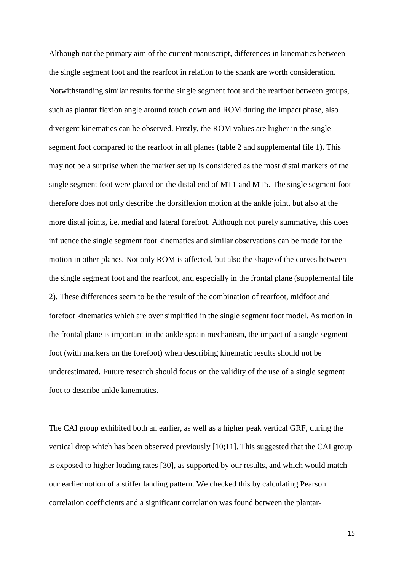Although not the primary aim of the current manuscript, differences in kinematics between the single segment foot and the rearfoot in relation to the shank are worth consideration. Notwithstanding similar results for the single segment foot and the rearfoot between groups, such as plantar flexion angle around touch down and ROM during the impact phase, also divergent kinematics can be observed. Firstly, the ROM values are higher in the single segment foot compared to the rearfoot in all planes (table 2 and supplemental file 1). This may not be a surprise when the marker set up is considered as the most distal markers of the single segment foot were placed on the distal end of MT1 and MT5. The single segment foot therefore does not only describe the dorsiflexion motion at the ankle joint, but also at the more distal joints, i.e. medial and lateral forefoot. Although not purely summative, this does influence the single segment foot kinematics and similar observations can be made for the motion in other planes. Not only ROM is affected, but also the shape of the curves between the single segment foot and the rearfoot, and especially in the frontal plane (supplemental file 2). These differences seem to be the result of the combination of rearfoot, midfoot and forefoot kinematics which are over simplified in the single segment foot model. As motion in the frontal plane is important in the ankle sprain mechanism, the impact of a single segment foot (with markers on the forefoot) when describing kinematic results should not be underestimated. Future research should focus on the validity of the use of a single segment foot to describe ankle kinematics.

The CAI group exhibited both an earlier, as well as a higher peak vertical GRF, during the vertical drop which has been observed previously [10;11]. This suggested that the CAI group is exposed to higher loading rates [30], as supported by our results, and which would match our earlier notion of a stiffer landing pattern. We checked this by calculating Pearson correlation coefficients and a significant correlation was found between the plantar-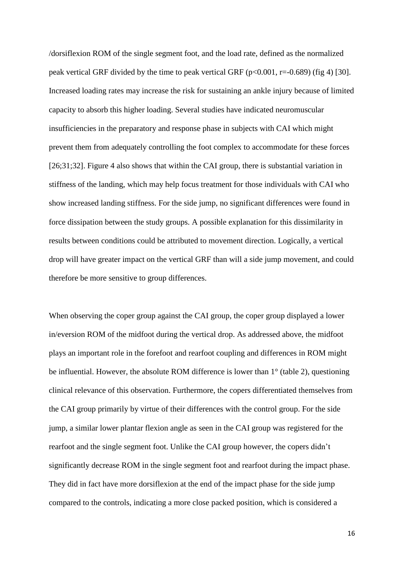/dorsiflexion ROM of the single segment foot, and the load rate, defined as the normalized peak vertical GRF divided by the time to peak vertical GRF ( $p<0.001$ ,  $r=-0.689$ ) (fig 4) [30]. Increased loading rates may increase the risk for sustaining an ankle injury because of limited capacity to absorb this higher loading. Several studies have indicated neuromuscular insufficiencies in the preparatory and response phase in subjects with CAI which might prevent them from adequately controlling the foot complex to accommodate for these forces [26;31;32]. Figure 4 also shows that within the CAI group, there is substantial variation in stiffness of the landing, which may help focus treatment for those individuals with CAI who show increased landing stiffness. For the side jump, no significant differences were found in force dissipation between the study groups. A possible explanation for this dissimilarity in results between conditions could be attributed to movement direction. Logically, a vertical drop will have greater impact on the vertical GRF than will a side jump movement, and could therefore be more sensitive to group differences.

When observing the coper group against the CAI group, the coper group displayed a lower in/eversion ROM of the midfoot during the vertical drop. As addressed above, the midfoot plays an important role in the forefoot and rearfoot coupling and differences in ROM might be influential. However, the absolute ROM difference is lower than 1° (table 2), questioning clinical relevance of this observation. Furthermore, the copers differentiated themselves from the CAI group primarily by virtue of their differences with the control group. For the side jump, a similar lower plantar flexion angle as seen in the CAI group was registered for the rearfoot and the single segment foot. Unlike the CAI group however, the copers didn't significantly decrease ROM in the single segment foot and rearfoot during the impact phase. They did in fact have more dorsiflexion at the end of the impact phase for the side jump compared to the controls, indicating a more close packed position, which is considered a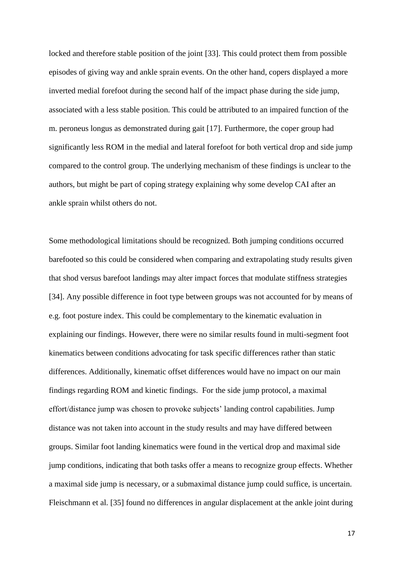locked and therefore stable position of the joint [33]. This could protect them from possible episodes of giving way and ankle sprain events. On the other hand, copers displayed a more inverted medial forefoot during the second half of the impact phase during the side jump, associated with a less stable position. This could be attributed to an impaired function of the m. peroneus longus as demonstrated during gait [17]. Furthermore, the coper group had significantly less ROM in the medial and lateral forefoot for both vertical drop and side jump compared to the control group. The underlying mechanism of these findings is unclear to the authors, but might be part of coping strategy explaining why some develop CAI after an ankle sprain whilst others do not.

Some methodological limitations should be recognized. Both jumping conditions occurred barefooted so this could be considered when comparing and extrapolating study results given that shod versus barefoot landings may alter impact forces that modulate stiffness strategies [34]. Any possible difference in foot type between groups was not accounted for by means of e.g. foot posture index. This could be complementary to the kinematic evaluation in explaining our findings. However, there were no similar results found in multi-segment foot kinematics between conditions advocating for task specific differences rather than static differences. Additionally, kinematic offset differences would have no impact on our main findings regarding ROM and kinetic findings. For the side jump protocol, a maximal effort/distance jump was chosen to provoke subjects' landing control capabilities. Jump distance was not taken into account in the study results and may have differed between groups. Similar foot landing kinematics were found in the vertical drop and maximal side jump conditions, indicating that both tasks offer a means to recognize group effects. Whether a maximal side jump is necessary, or a submaximal distance jump could suffice, is uncertain. Fleischmann et al. [35] found no differences in angular displacement at the ankle joint during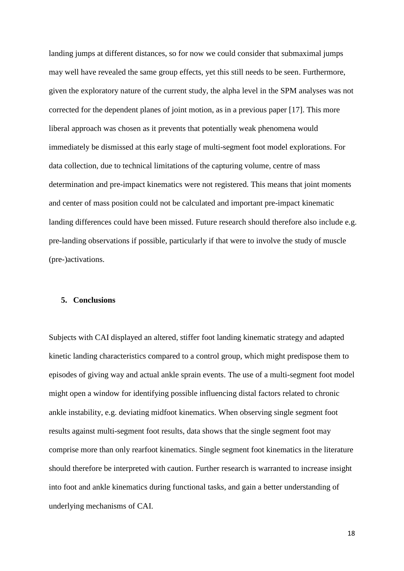landing jumps at different distances, so for now we could consider that submaximal jumps may well have revealed the same group effects, yet this still needs to be seen. Furthermore, given the exploratory nature of the current study, the alpha level in the SPM analyses was not corrected for the dependent planes of joint motion, as in a previous paper [17]. This more liberal approach was chosen as it prevents that potentially weak phenomena would immediately be dismissed at this early stage of multi-segment foot model explorations. For data collection*,* due to technical limitations of the capturing volume, centre of mass determination and pre-impact kinematics were not registered. This means that joint moments and center of mass position could not be calculated and important pre-impact kinematic landing differences could have been missed. Future research should therefore also include e.g. pre-landing observations if possible, particularly if that were to involve the study of muscle (pre-)activations.

#### **5. Conclusions**

Subjects with CAI displayed an altered, stiffer foot landing kinematic strategy and adapted kinetic landing characteristics compared to a control group, which might predispose them to episodes of giving way and actual ankle sprain events. The use of a multi-segment foot model might open a window for identifying possible influencing distal factors related to chronic ankle instability, e.g. deviating midfoot kinematics. When observing single segment foot results against multi-segment foot results, data shows that the single segment foot may comprise more than only rearfoot kinematics. Single segment foot kinematics in the literature should therefore be interpreted with caution. Further research is warranted to increase insight into foot and ankle kinematics during functional tasks, and gain a better understanding of underlying mechanisms of CAI.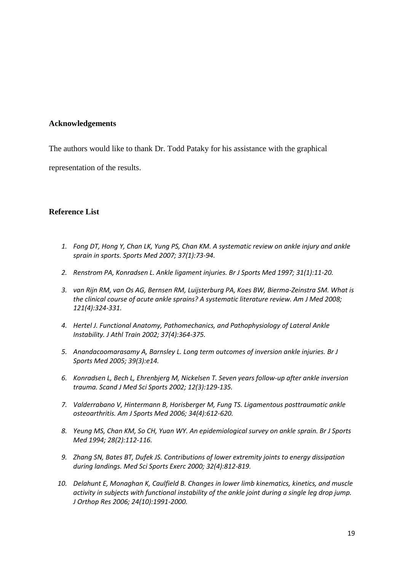## **Acknowledgements**

The authors would like to thank Dr. Todd Pataky for his assistance with the graphical

representation of the results.

# **Reference List**

- *1. Fong DT, Hong Y, Chan LK, Yung PS, Chan KM. A systematic review on ankle injury and ankle sprain in sports. Sports Med 2007; 37(1):73-94.*
- *2. Renstrom PA, Konradsen L. Ankle ligament injuries. Br J Sports Med 1997; 31(1):11-20.*
- *3. van Rijn RM, van Os AG, Bernsen RM, Luijsterburg PA, Koes BW, Bierma-Zeinstra SM. What is the clinical course of acute ankle sprains? A systematic literature review. Am J Med 2008; 121(4):324-331.*
- *4. Hertel J. Functional Anatomy, Pathomechanics, and Pathophysiology of Lateral Ankle Instability. J Athl Train 2002; 37(4):364-375.*
- *5. Anandacoomarasamy A, Barnsley L. Long term outcomes of inversion ankle injuries. Br J Sports Med 2005; 39(3):e14.*
- *6. Konradsen L, Bech L, Ehrenbjerg M, Nickelsen T. Seven years follow-up after ankle inversion trauma. Scand J Med Sci Sports 2002; 12(3):129-135.*
- *7. Valderrabano V, Hintermann B, Horisberger M, Fung TS. Ligamentous posttraumatic ankle osteoarthritis. Am J Sports Med 2006; 34(4):612-620.*
- *8. Yeung MS, Chan KM, So CH, Yuan WY. An epidemiological survey on ankle sprain. Br J Sports Med 1994; 28(2):112-116.*
- *9. Zhang SN, Bates BT, Dufek JS. Contributions of lower extremity joints to energy dissipation during landings. Med Sci Sports Exerc 2000; 32(4):812-819.*
- *10. Delahunt E, Monaghan K, Caulfield B. Changes in lower limb kinematics, kinetics, and muscle activity in subjects with functional instability of the ankle joint during a single leg drop jump. J Orthop Res 2006; 24(10):1991-2000.*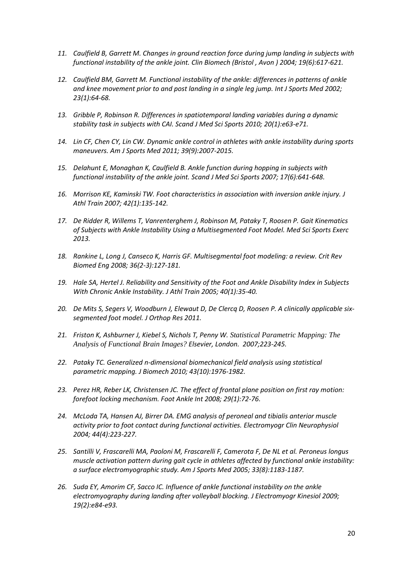- *11. Caulfield B, Garrett M. Changes in ground reaction force during jump landing in subjects with functional instability of the ankle joint. Clin Biomech (Bristol , Avon ) 2004; 19(6):617-621.*
- 12. Caulfield BM, Garrett M. Functional instability of the ankle: differences in patterns of ankle *and knee movement prior to and post landing in a single leg jump. Int J Sports Med 2002; 23(1):64-68.*
- *13. Gribble P, Robinson R. Differences in spatiotemporal landing variables during a dynamic stability task in subjects with CAI. Scand J Med Sci Sports 2010; 20(1):e63-e71.*
- *14. Lin CF, Chen CY, Lin CW. Dynamic ankle control in athletes with ankle instability during sports maneuvers. Am J Sports Med 2011; 39(9):2007-2015.*
- *15. Delahunt E, Monaghan K, Caulfield B. Ankle function during hopping in subjects with functional instability of the ankle joint. Scand J Med Sci Sports 2007; 17(6):641-648.*
- *16. Morrison KE, Kaminski TW. Foot characteristics in association with inversion ankle injury. J Athl Train 2007; 42(1):135-142.*
- *17. De Ridder R, Willems T, Vanrenterghem J, Robinson M, Pataky T, Roosen P. Gait Kinematics of Subjects with Ankle Instability Using a Multisegmented Foot Model. Med Sci Sports Exerc 2013.*
- *18. Rankine L, Long J, Canseco K, Harris GF. Multisegmental foot modeling: a review. Crit Rev Biomed Eng 2008; 36(2-3):127-181.*
- *19. Hale SA, Hertel J. Reliability and Sensitivity of the Foot and Ankle Disability Index in Subjects With Chronic Ankle Instability. J Athl Train 2005; 40(1):35-40.*
- *20. De Mits S, Segers V, Woodburn J, Elewaut D, De Clercq D, Roosen P. A clinically applicable sixsegmented foot model. J Orthop Res 2011.*
- *21. Friston K, Ashburner J, Kiebel S, Nichols T, Penny W. Statistical Parametric Mapping: The Analysis of Functional Brain Images? Elsevier, London. 2007;223-245.*
- *22. Pataky TC. Generalized n-dimensional biomechanical field analysis using statistical parametric mapping. J Biomech 2010; 43(10):1976-1982.*
- *23. Perez HR, Reber LK, Christensen JC. The effect of frontal plane position on first ray motion: forefoot locking mechanism. Foot Ankle Int 2008; 29(1):72-76.*
- *24. McLoda TA, Hansen AJ, Birrer DA. EMG analysis of peroneal and tibialis anterior muscle activity prior to foot contact during functional activities. Electromyogr Clin Neurophysiol 2004; 44(4):223-227.*
- *25. Santilli V, Frascarelli MA, Paoloni M, Frascarelli F, Camerota F, De NL et al. Peroneus longus muscle activation pattern during gait cycle in athletes affected by functional ankle instability: a surface electromyographic study. Am J Sports Med 2005; 33(8):1183-1187.*
- *26. Suda EY, Amorim CF, Sacco IC. Influence of ankle functional instability on the ankle electromyography during landing after volleyball blocking. J Electromyogr Kinesiol 2009; 19(2):e84-e93.*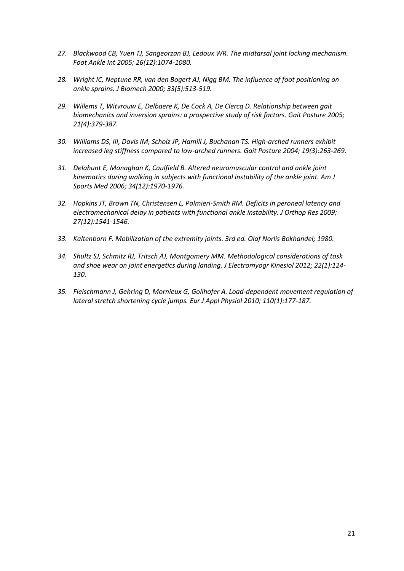- *27. Blackwood CB, Yuen TJ, Sangeorzan BJ, Ledoux WR. The midtarsal joint locking mechanism. Foot Ankle Int 2005; 26(12):1074-1080.*
- *28. Wright IC, Neptune RR, van den Bogert AJ, Nigg BM. The influence of foot positioning on ankle sprains. J Biomech 2000; 33(5):513-519.*
- *29. Willems T, Witvrouw E, Delbaere K, De Cock A, De Clercq D. Relationship between gait biomechanics and inversion sprains: a prospective study of risk factors. Gait Posture 2005; 21(4):379-387.*
- *30. Williams DS, III, Davis IM, Scholz JP, Hamill J, Buchanan TS. High-arched runners exhibit increased leg stiffness compared to low-arched runners. Gait Posture 2004; 19(3):263-269.*
- *31. Delahunt E, Monaghan K, Caulfield B. Altered neuromuscular control and ankle joint kinematics during walking in subjects with functional instability of the ankle joint. Am J Sports Med 2006; 34(12):1970-1976.*
- *32. Hopkins JT, Brown TN, Christensen L, Palmieri-Smith RM. Deficits in peroneal latency and electromechanical delay in patients with functional ankle instability. J Orthop Res 2009; 27(12):1541-1546.*
- *33. Kaltenborn F. Mobilization of the extremity joints. 3rd ed. Olaf Norlis Bokhandel; 1980.*
- *34. Shultz SJ, Schmitz RJ, Tritsch AJ, Montgomery MM. Methodological considerations of task and shoe wear on joint energetics during landing. J Electromyogr Kinesiol 2012; 22(1):124- 130.*
- *35. Fleischmann J, Gehring D, Mornieux G, Gollhofer A. Load-dependent movement regulation of lateral stretch shortening cycle jumps. Eur J Appl Physiol 2010; 110(1):177-187.*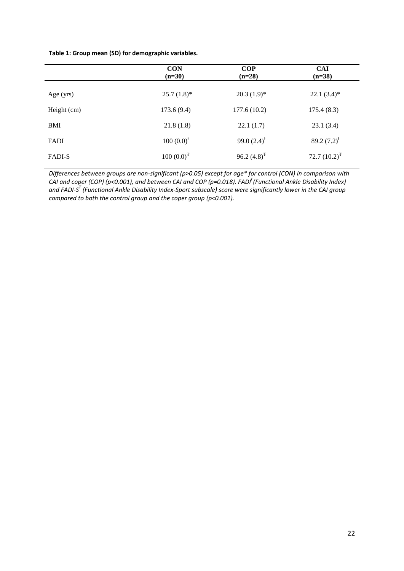#### **Table 1: Group mean (SD) for demographic variables.**

|               | <b>CON</b><br>$(n=30)$ | COP<br>$(n=28)$  | <b>CAI</b><br>$(n=38)$ |  |
|---------------|------------------------|------------------|------------------------|--|
| Age $(yrs)$   | $25.7(1.8)$ *          | $20.3(1.9)*$     | $22.1(3.4)$ *          |  |
| Height (cm)   | 173.6(9.4)             | 177.6(10.2)      | 175.4(8.3)             |  |
| <b>BMI</b>    | 21.8(1.8)              | 22.1(1.7)        | 23.1(3.4)              |  |
| FADI          | $100 (0.0)^t$          | 99.0 $(2.4)^{1}$ | 89.2 $(7.2)^{1}$       |  |
| <b>FADI-S</b> | $100 (0.0)^T$          | 96.2 $(4.8)^{T}$ | 72.7 $(10.2)^T$        |  |

*Differences between groups are non-significant (p>0.05) except for age\* for control (CON) in comparison with CAI and coper (COP) (p<0.001), and between CAI and COP (p=0.018). FADI<sup>ł</sup> (Functional Ankle Disability Index) and FADI-S Ŧ (Functional Ankle Disability Index-Sport subscale) score were significantly lower in the CAI group compared to both the control group and the coper group (p<0.001).*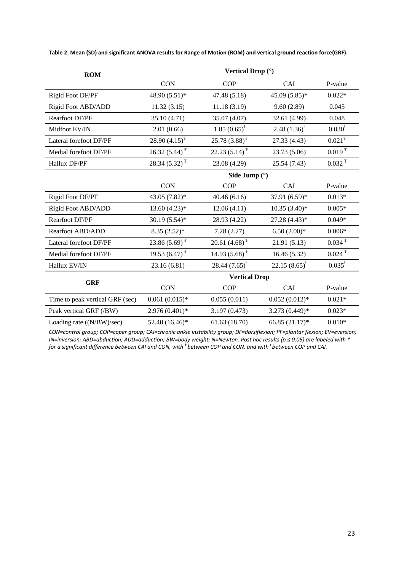**Table 2. Mean (SD) and significant ANOVA results for Range of Motion (ROM) and vertical ground reaction force(GRF).**

| <b>ROM</b>                      | Vertical Drop (°)           |                    |                   |                                |  |  |
|---------------------------------|-----------------------------|--------------------|-------------------|--------------------------------|--|--|
|                                 | <b>CON</b>                  | <b>COP</b>         | CAI               | P-value                        |  |  |
| Rigid Foot DF/PF                | 48.90 (5.51)*               | 47.48 (5.18)       | $45.09(5.85)*$    | $0.022*$                       |  |  |
| Rigid Foot ABD/ADD              | 11.32(3.15)                 | 11.18(3.19)        | 9.60(2.89)        | 0.045                          |  |  |
| <b>Rearfoot DF/PF</b>           | 35.10 (4.71)                | 35.07 (4.07)       | 32.61 (4.99)      | 0.048                          |  |  |
| Midfoot EV/IN                   | 2.01(0.66)                  | $1.85(0.65)^{1}$   | 2.48 $(1.36)^{t}$ | 0.030 <sup>1</sup>             |  |  |
| Lateral forefoot DF/PF          | 28.90 $(4.15)^T$            | $25.78(3.88)^{T}$  | 27.33 (4.43)      | $0.021^\mathrm{\scriptsize T}$ |  |  |
| Medial forefoot DF/PF           | $26.32(5.44)^T$             | 22.23 $(5.14)^T$   | 23.73 (5.06)      | $0.019$ <sup>T</sup>           |  |  |
| Hallux DF/PF                    | 28.34 $(5.32)^T$            | 23.08 (4.29)       | 25.54 (7.43)      | $0.032 \text{ }^{\text{T}}$    |  |  |
|                                 | Side Jump $(°)$             |                    |                   |                                |  |  |
|                                 | <b>CON</b>                  | <b>COP</b>         | CAI               | P-value                        |  |  |
| Rigid Foot DF/PF                | 43.05 (7.82)*               | 40.46(6.16)        | 37.91 (6.59)*     | $0.013*$                       |  |  |
| Rigid Foot ABD/ADD              | $13.60(4.23)*$              | 12.06(4.11)        | $10.35(3.40)$ *   | $0.005*$                       |  |  |
| <b>Rearfoot DF/PF</b>           | $30.19(5.54)$ *             | 28.93 (4.22)       | 27.28 (4.43)*     | $0.049*$                       |  |  |
| Rearfoot ABD/ADD                | $8.35(2.52)^*$              | 7.28(2.27)         | $6.50(2.00)*$     | $0.006*$                       |  |  |
| Lateral forefoot DF/PF          | $23.86(5.69)^T$             | 20.61 $(4.68)^T$   | 21.91(5.13)       | $0.034$ <sup>T</sup>           |  |  |
| Medial forefoot DF/PF           | 19.53 $(6.47)$ <sup>T</sup> | 14.93 $(5.68)^T$   | 16.46(5.32)       | $0.024$ <sup>T</sup>           |  |  |
| Hallux EV/IN                    | 23.16(6.81)                 | 28.44 $(7.65)^{1}$ | $22.15(8.65)^{1}$ | $0.035^{\rm t}$                |  |  |
| <b>GRF</b>                      | <b>Vertical Drop</b>        |                    |                   |                                |  |  |
|                                 | <b>CON</b>                  | <b>COP</b>         | CAI               | P-value                        |  |  |
| Time to peak vertical GRF (sec) | $0.061(0.015)*$             | 0.055(0.011)       | $0.052(0.012)*$   | $0.021*$                       |  |  |
| Peak vertical GRF (/BW)         | $2.976(0.401)*$             | 3.197 (0.473)      | $3.273(0.449)*$   | $0.023*$                       |  |  |
| Loading rate ((N/BW)/sec)       | 52.40 (16.46)*              | 61.63(18.70)       | 66.85 (21.17)*    | $0.010*$                       |  |  |

*CON=control group; COP=coper group; CAI=chronic ankle instability group; DF=dorsiflexion; PF=plantar flexion; EV=eversion; IN=inversion; ABD=abduction; ADD=adduction; BW=body weight; N=Newton. Post hoc results (p ≤ 0.05) are labeled with \* for a significant difference between CAI and CON, with <sup>Ŧ</sup>between COP and CON, and with <sup>ƚ</sup> between COP and CAI.*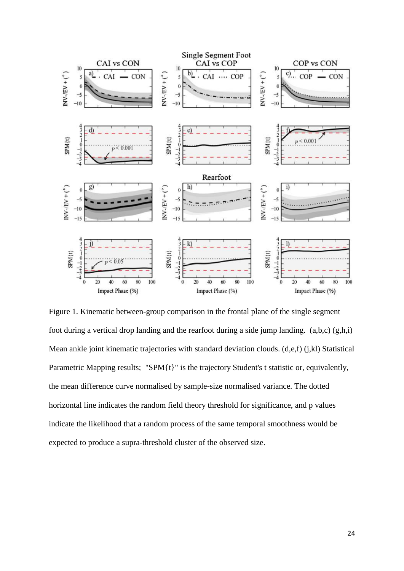

Figure 1. Kinematic between-group comparison in the frontal plane of the single segment foot during a vertical drop landing and the rearfoot during a side jump landing.  $(a,b,c)$   $(g,h,i)$ Mean ankle joint kinematic trajectories with standard deviation clouds. (d,e,f) (j,kl) Statistical Parametric Mapping results; "SPM{t}" is the trajectory Student's t statistic or, equivalently, the mean difference curve normalised by sample-size normalised variance. The dotted horizontal line indicates the random field theory threshold for significance, and p values indicate the likelihood that a random process of the same temporal smoothness would be expected to produce a supra-threshold cluster of the observed size.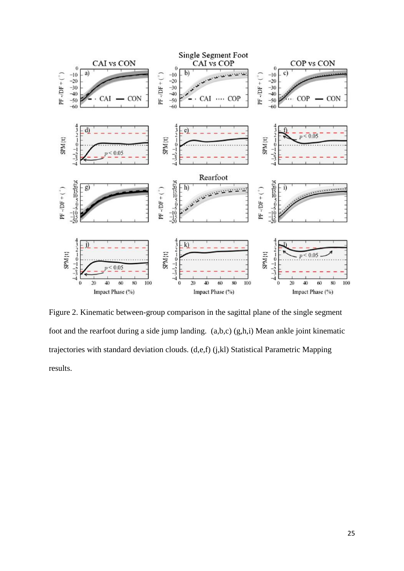

Figure 2. Kinematic between-group comparison in the sagittal plane of the single segment foot and the rearfoot during a side jump landing. (a,b,c) (g,h,i) Mean ankle joint kinematic trajectories with standard deviation clouds. (d,e,f) (j,kl) Statistical Parametric Mapping results.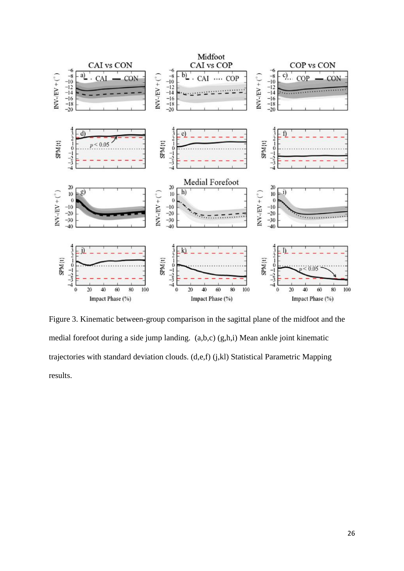

Figure 3. Kinematic between-group comparison in the sagittal plane of the midfoot and the medial forefoot during a side jump landing. (a,b,c) (g,h,i) Mean ankle joint kinematic trajectories with standard deviation clouds. (d,e,f) (j,kl) Statistical Parametric Mapping results.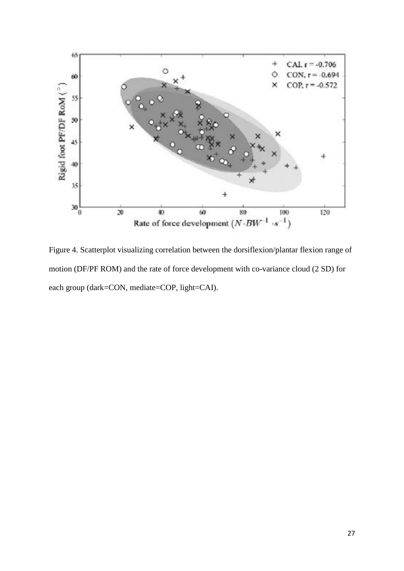

Figure 4. Scatterplot visualizing correlation between the dorsiflexion/plantar flexion range of motion (DF/PF ROM) and the rate of force development with co-variance cloud (2 SD) for each group (dark=CON, mediate=COP, light=CAI).